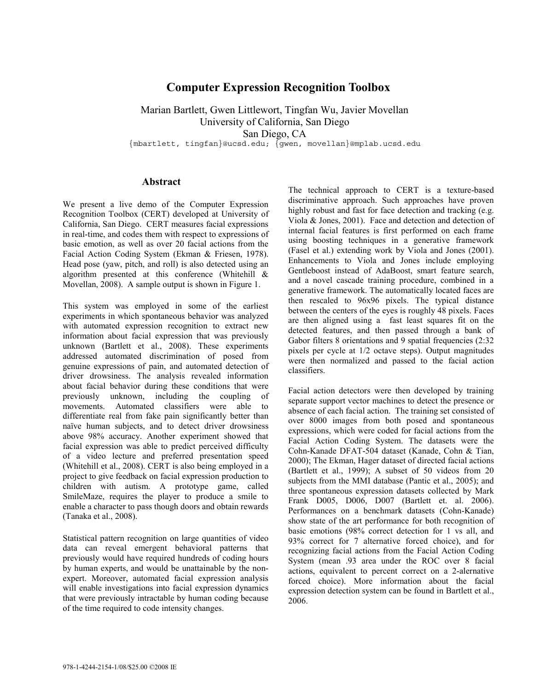## **Computer Expression Recognition Toolbox**

Marian Bartlett, Gwen Littlewort, Tingfan Wu, Javier Movellan University of California, San Diego San Diego, CA {mbartlett, tingfan}@ucsd.edu; {gwen, movellan}@mplab.ucsd.edu

**Abstract**

We present a live demo of the Computer Expression Recognition Toolbox (CERT) developed at University of California, San Diego. CERT measures facial expressions in real-time, and codes them with respect to expressions of basic emotion, as well as over 20 facial actions from the Facial Action Coding System (Ekman & Friesen, 1978). Head pose (yaw, pitch, and roll) is also detected using an algorithm presented at this conference (Whitehill & Movellan, 2008). A sample output is shown in Figure 1.

This system was employed in some of the earliest experiments in which spontaneous behavior was analyzed with automated expression recognition to extract new information about facial expression that was previously unknown (Bartlett et al., 2008). These experiments addressed automated discrimination of posed from genuine expressions of pain, and automated detection of driver drowsiness. The analysis revealed information about facial behavior during these conditions that were previously unknown, including the coupling of movements. Automated classifiers were able to differentiate real from fake pain significantly better than naïve human subjects, and to detect driver drowsiness above 98% accuracy. Another experiment showed that facial expression was able to predict perceived difficulty of a video lecture and preferred presentation speed (Whitehill et al., 2008). CERT is also being employed in a project to give feedback on facial expression production to children with autism. A prototype game, called SmileMaze, requires the player to produce a smile to enable a character to pass though doors and obtain rewards (Tanaka et al., 2008).

Statistical pattern recognition on large quantities of video data can reveal emergent behavioral patterns that previously would have required hundreds of coding hours by human experts, and would be unattainable by the nonexpert. Moreover, automated facial expression analysis will enable investigations into facial expression dynamics that were previously intractable by human coding because of the time required to code intensity changes.

The technical approach to CERT is a texture-based discriminative approach. Such approaches have proven highly robust and fast for face detection and tracking (e.g. Viola & Jones, 2001). Face and detection and detection of internal facial features is first performed on each frame using boosting techniques in a generative framework (Fasel et al.) extending work by Viola and Jones (2001). Enhancements to Viola and Jones include employing Gentleboost instead of AdaBoost, smart feature search, and a novel cascade training procedure, combined in a generative framework. The automatically located faces are then rescaled to 96x96 pixels. The typical distance between the centers of the eyes is roughly 48 pixels. Faces are then aligned using a fast least squares fit on the detected features, and then passed through a bank of Gabor filters 8 orientations and 9 spatial frequencies  $(2:32)$ pixels per cycle at 1/2 octave steps). Output magnitudes were then normalized and passed to the facial action classifiers.

Facial action detectors were then developed by training separate support vector machines to detect the presence or absence of each facial action. The training set consisted of over 8000 images from both posed and spontaneous expressions, which were coded for facial actions from the Facial Action Coding System. The datasets were the Cohn-Kanade DFAT-504 dataset (Kanade, Cohn & Tian, 2000); The Ekman, Hager dataset of directed facial actions (Bartlett et al., 1999); A subset of 50 videos from 20 subjects from the MMI database (Pantic et al., 2005); and three spontaneous expression datasets collected by Mark Frank D005, D006, D007 (Bartlett et. al. 2006). Performances on a benchmark datasets (Cohn-Kanade) show state of the art performance for both recognition of basic emotions (98% correct detection for 1 vs all, and 93% correct for 7 alternative forced choice), and for recognizing facial actions from the Facial Action Coding System (mean .93 area under the ROC over 8 facial actions, equivalent to percent correct on a 2-alernative forced choice). More information about the facial expression detection system can be found in Bartlett et al., 2006.